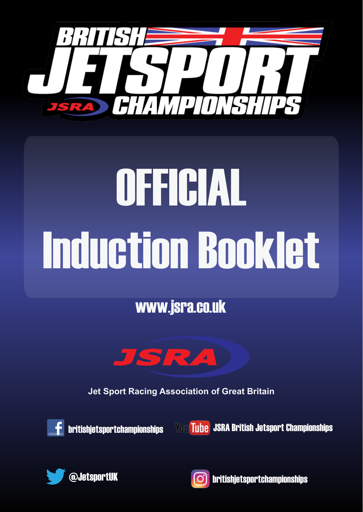

# OFFICIAL Induction Booklet

www.jsra.co.uk



**Jet Sport Racing Association of Great Britain**



britishjetsportchampionships

You Tube JSRA British Jetsport Championships





 $\bigcirc$  britishjetsportuk britishietsportchampionships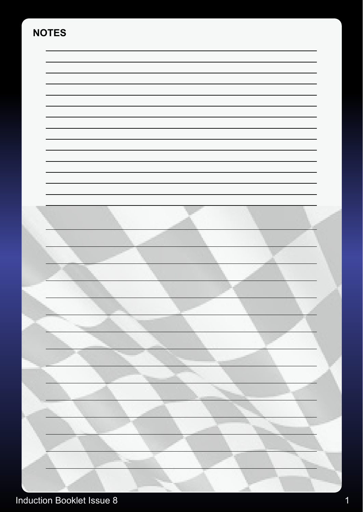# **NOTES**



# Induction Booklet Issue 8 1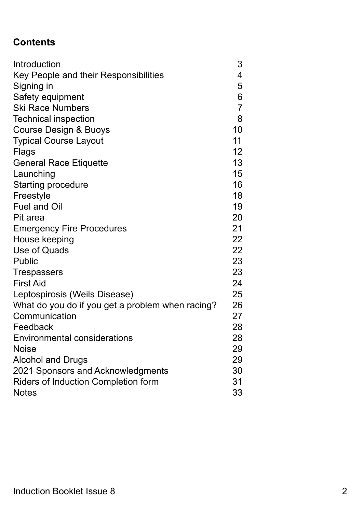# **Contents**

| Introduction                                     | 3               |
|--------------------------------------------------|-----------------|
| Key People and their Responsibilities            | 4               |
| Signing in                                       | 5               |
| Safety equipment                                 | 6               |
| <b>Ski Race Numbers</b>                          | $\overline{7}$  |
| <b>Technical inspection</b>                      | 8               |
| <b>Course Design &amp; Buoys</b>                 | 10              |
| <b>Typical Course Layout</b>                     | 11              |
| <b>Flags</b>                                     | 12 <sub>2</sub> |
| <b>General Race Etiquette</b>                    | 13              |
| Launching                                        | 15              |
| <b>Starting procedure</b>                        | 16              |
| Freestyle                                        | 18              |
| <b>Fuel and Oil</b>                              | 19              |
| Pit area                                         | 20              |
| <b>Emergency Fire Procedures</b>                 | 21              |
| House keeping                                    | 22              |
| Use of Quads                                     | 22              |
| <b>Public</b>                                    | 23              |
| <b>Trespassers</b>                               | 23              |
| <b>First Aid</b>                                 | 24              |
| Leptospirosis (Weils Disease)                    | 25              |
| What do you do if you get a problem when racing? | 26              |
| Communication                                    | 27              |
| Feedback                                         | 28              |
| <b>Environmental considerations</b>              | 28              |
| <b>Noise</b>                                     | 29              |
| <b>Alcohol and Drugs</b>                         | 29              |
| 2021 Sponsors and Acknowledgments                | 30              |
| <b>Riders of Induction Completion form</b>       | 31              |
| <b>Notes</b>                                     | 33              |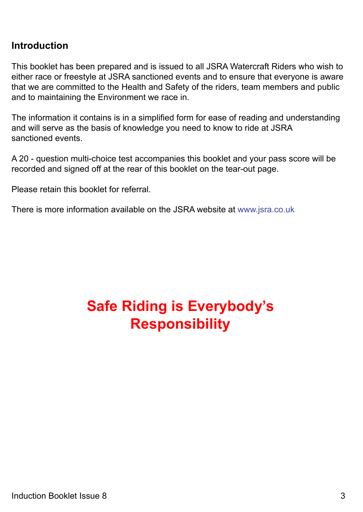# **Introduction**

This booklet has been prepared and is issued to all JSRA Watercraft Riders who wish to either race or freestyle at JSRA sanctioned events and to ensure that everyone is aware that we are committed to the Health and Safety of the riders, team members and public and to maintaining the Environment we race in.

The information it contains is in a simplified form for ease of reading and understanding and will serve as the basis of knowledge you need to know to ride at JSRA sanctioned events.

A 20 - question multi-choice test accompanies this booklet and your pass score will be recorded and signed off at the rear of this booklet on the tear-out page.

Please retain this booklet for referral.

There is more information available on the JSRA website at www.jsra.co.uk

# **Safe Riding is Everybody's Responsibility**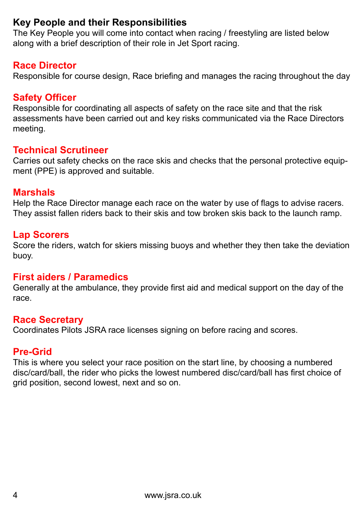# **Key People and their Responsibilities**

The Key People you will come into contact when racing / freestyling are listed below along with a brief description of their role in Jet Sport racing.

### **Race Director**

Responsible for course design, Race briefing and manages the racing throughout the day

### **Safety Officer**

Responsible for coordinating all aspects of safety on the race site and that the risk assessments have been carried out and key risks communicated via the Race Directors meeting.

### **Technical Scrutineer**

Carries out safety checks on the race skis and checks that the personal protective equipment (PPE) is approved and suitable.

### **Marshals**

Help the Race Director manage each race on the water by use of flags to advise racers. They assist fallen riders back to their skis and tow broken skis back to the launch ramp.

### **Lap Scorers**

Score the riders, watch for skiers missing buoys and whether they then take the deviation buoy.

### **First aiders / Paramedics**

Generally at the ambulance, they provide first aid and medical support on the day of the race.

### **Race Secretary**

Coordinates Pilots JSRA race licenses signing on before racing and scores.

# **Pre-Grid**

This is where you select your race position on the start line, by choosing a numbered disc/card/ball, the rider who picks the lowest numbered disc/card/ball has first choice of grid position, second lowest, next and so on.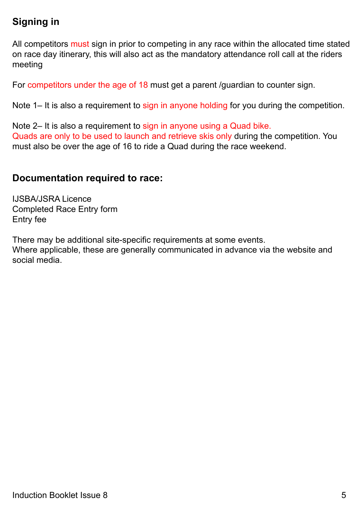# **Signing in**

All competitors must sign in prior to competing in any race within the allocated time stated on race day itinerary, this will also act as the mandatory attendance roll call at the riders meeting

For competitors under the age of 18 must get a parent /guardian to counter sign.

Note 1– It is also a requirement to sign in anyone holding for you during the competition.

Note 2– It is also a requirement to sign in anyone using a Quad bike. Quads are only to be used to launch and retrieve skis only during the competition. You must also be over the age of 16 to ride a Quad during the race weekend.

### **Documentation required to race:**

IJSBA/JSRA Licence Completed Race Entry form Entry fee

There may be additional site-specific requirements at some events.

Where applicable, these are generally communicated in advance via the website and social media.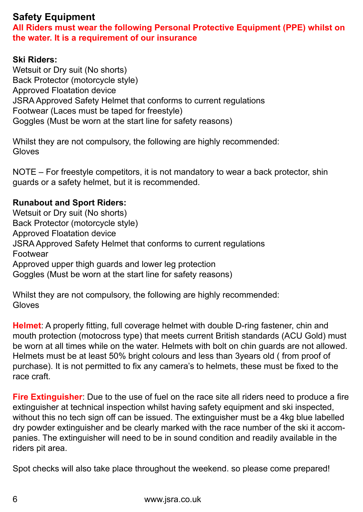# **Safety Equipment**

**All Riders must wear the following Personal Protective Equipment (PPE) whilst on the water. It is a requirement of our insurance**

### **Ski Riders:**

Wetsuit or Dry suit (No shorts) Back Protector (motorcycle style) Approved Floatation device JSRA Approved Safety Helmet that conforms to current regulations Footwear (Laces must be taped for freestyle) Goggles (Must be worn at the start line for safety reasons)

Whilst they are not compulsory, the following are highly recommended: Gloves

NOTE – For freestyle competitors, it is not mandatory to wear a back protector, shin guards or a safety helmet, but it is recommended.

### **Runabout and Sport Riders:**

Wetsuit or Dry suit (No shorts) Back Protector (motorcycle style) Approved Floatation device JSRA Approved Safety Helmet that conforms to current regulations Footwear Approved upper thigh guards and lower leg protection Goggles (Must be worn at the start line for safety reasons)

Whilst they are not compulsory, the following are highly recommended: Gloves

**Helmet**: A properly fitting, full coverage helmet with double D-ring fastener, chin and mouth protection (motocross type) that meets current British standards (ACU Gold) must be worn at all times while on the water. Helmets with bolt on chin guards are not allowed. Helmets must be at least 50% bright colours and less than 3years old ( from proof of purchase). It is not permitted to fix any camera's to helmets, these must be fixed to the race craft.

**Fire Extinguisher**: Due to the use of fuel on the race site all riders need to produce a fire extinguisher at technical inspection whilst having safety equipment and ski inspected, without this no tech sign off can be issued. The extinguisher must be a 4kg blue labelled dry powder extinguisher and be clearly marked with the race number of the ski it accompanies. The extinguisher will need to be in sound condition and readily available in the riders pit area.

Spot checks will also take place throughout the weekend. so please come prepared!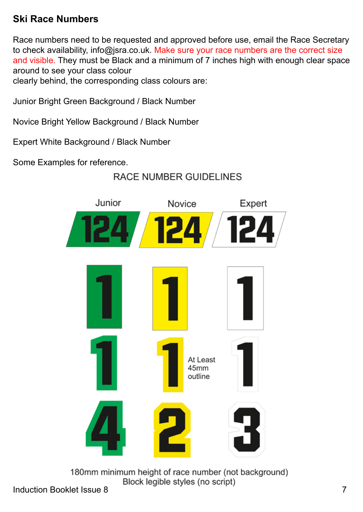# **Ski Race Numbers**

Race numbers need to be requested and approved before use, email the Race Secretary to check availability, info@jsra.co.uk. Make sure your race numbers are the correct size and visible. They must be Black and a minimum of 7 inches high with enough clear space around to see your class colour

clearly behind, the corresponding class colours are:

Junior Bright Green Background / Black Number

Novice Bright Yellow Background / Black Number

Expert White Background / Black Number

Some Examples for reference.

# **RACE NUMBER GUIDELINES**



180mm minimum height of race number (not background) Block legible styles (no script)

Induction Booklet Issue 8 7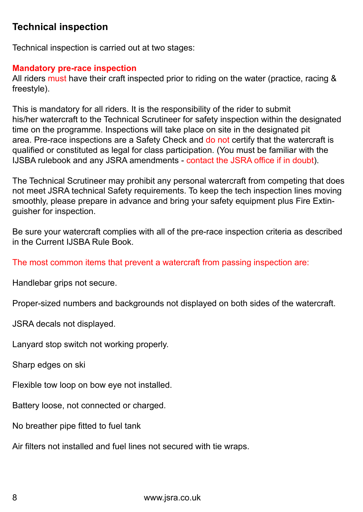# **Technical inspection**

Technical inspection is carried out at two stages:

### **Mandatory pre-race inspection**

All riders must have their craft inspected prior to riding on the water (practice, racing & freestyle).

This is mandatory for all riders. It is the responsibility of the rider to submit his/her watercraft to the Technical Scrutineer for safety inspection within the designated time on the programme. Inspections will take place on site in the designated pit area. Pre-race inspections are a Safety Check and do not certify that the watercraft is qualified or constituted as legal for class participation. (You must be familiar with the IJSBA rulebook and any JSRA amendments - contact the JSRA office if in doubt).

The Technical Scrutineer may prohibit any personal watercraft from competing that does not meet JSRA technical Safety requirements. To keep the tech inspection lines moving smoothly, please prepare in advance and bring your safety equipment plus Fire Extinguisher for inspection.

Be sure your watercraft complies with all of the pre-race inspection criteria as described in the Current IJSBA Rule Book.

The most common items that prevent a watercraft from passing inspection are:

Handlebar grips not secure.

Proper-sized numbers and backgrounds not displayed on both sides of the watercraft.

JSRA decals not displayed.

Lanyard stop switch not working properly.

Sharp edges on ski

Flexible tow loop on bow eye not installed.

Battery loose, not connected or charged.

No breather pipe fitted to fuel tank

Air filters not installed and fuel lines not secured with tie wraps.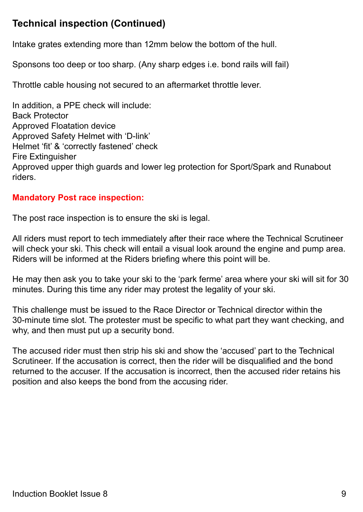# **Technical inspection (Continued)**

Intake grates extending more than 12mm below the bottom of the hull.

Sponsons too deep or too sharp. (Any sharp edges i.e. bond rails will fail)

Throttle cable housing not secured to an aftermarket throttle lever.

In addition, a PPE check will include: Back Protector Approved Floatation device Approved Safety Helmet with 'D-link' Helmet 'fit' & 'correctly fastened' check Fire Extinguisher Approved upper thigh guards and lower leg protection for Sport/Spark and Runabout riders.

### **Mandatory Post race inspection:**

The post race inspection is to ensure the ski is legal.

All riders must report to tech immediately after their race where the Technical Scrutineer will check your ski. This check will entail a visual look around the engine and pump area. Riders will be informed at the Riders briefing where this point will be.

He may then ask you to take your ski to the 'park ferme' area where your ski will sit for 30 minutes. During this time any rider may protest the legality of your ski.

This challenge must be issued to the Race Director or Technical director within the 30-minute time slot. The protester must be specific to what part they want checking, and why, and then must put up a security bond.

The accused rider must then strip his ski and show the 'accused' part to the Technical Scrutineer. If the accusation is correct, then the rider will be disqualified and the bond returned to the accuser. If the accusation is incorrect, then the accused rider retains his position and also keeps the bond from the accusing rider.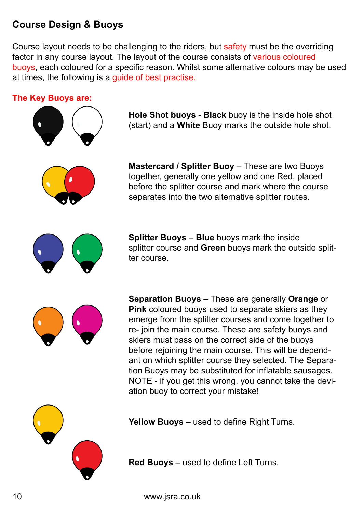# **Course Design & Buoys**

Course layout needs to be challenging to the riders, but safety must be the overriding factor in any course layout. The layout of the course consists of various coloured buoys, each coloured for a specific reason. Whilst some alternative colours may be used at times, the following is a guide of best practise.

### **The Key Buoys are:**



**Hole Shot buoys** - **Black** buoy is the inside hole shot (start) and a **White** Buoy marks the outside hole shot.



**Mastercard / Splitter Buoy** – These are two Buoys together, generally one yellow and one Red, placed before the splitter course and mark where the course separates into the two alternative splitter routes.



**Splitter Buoys** – **Blue** buoys mark the inside splitter course and **Green** buoys mark the outside splitter course.



**Separation Buoys** – These are generally **Orange** or **Pink** coloured buoys used to separate skiers as they emerge from the splitter courses and come together to re- join the main course. These are safety buoys and skiers must pass on the correct side of the buoys before rejoining the main course. This will be dependant on which splitter course they selected. The Separation Buoys may be substituted for inflatable sausages. NOTE - if you get this wrong, you cannot take the deviation buoy to correct your mistake!



**Yellow Buoys** – used to define Right Turns.

**Red Buoys** – used to define Left Turns.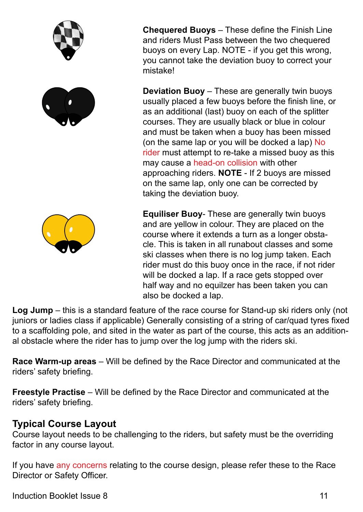

**Chequered Buoys** – These define the Finish Line and riders Must Pass between the two chequered buoys on every Lap. NOTE - if you get this wrong, you cannot take the deviation buoy to correct your

**Deviation Buoy** – These are generally twin buoys usually placed a few buoys before the finish line, or as an additional (last) buoy on each of the splitter courses. They are usually black or blue in colour and must be taken when a buoy has been missed (on the same lap or you will be docked a lap) No rider must attempt to re-take a missed buoy as this may cause a head-on collision with other approaching riders. **NOTE** - If 2 buoys are missed on the same lap, only one can be corrected by taking the deviation buoy.

**Equiliser Buoy**- These are generally twin buoys and are yellow in colour. They are placed on the course where it extends a turn as a longer obstacle. This is taken in all runabout classes and some ski classes when there is no log jump taken. Each rider must do this buoy once in the race, if not rider will be docked a lap. If a race gets stopped over half way and no equilzer has been taken you can also be docked a lap.

**Log Jump** – this is a standard feature of the race course for Stand-up ski riders only (not juniors or ladies class if applicable) Generally consisting of a string of car/quad tyres fixed to a scaffolding pole, and sited in the water as part of the course, this acts as an additional obstacle where the rider has to jump over the log jump with the riders ski.

**Race Warm-up areas** – Will be defined by the Race Director and communicated at the riders' safety briefing.

**Freestyle Practise** – Will be defined by the Race Director and communicated at the riders' safety briefing.

# **Typical Course Layout**

Course layout needs to be challenging to the riders, but safety must be the overriding factor in any course layout.

If you have any concerns relating to the course design, please refer these to the Race Director or Safety Officer.

Induction Booklet Issue 8 11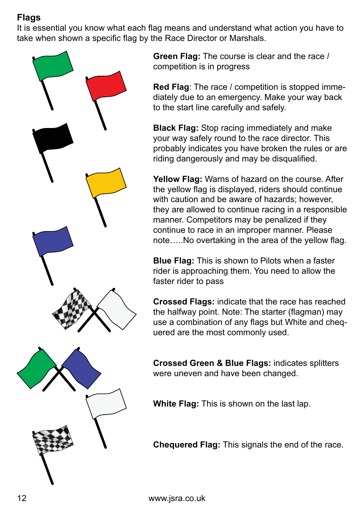# **Flags**

It is essential you know what each flag means and understand what action you have to take when shown a specific flag by the Race Director or Marshals.



**Green Flag:** The course is clear and the race / competition is in progress

**Red Flag**: The race / competition is stopped immediately due to an emergency. Make your way back to the start line carefully and safely.

**Black Flag:** Stop racing immediately and make your way safely round to the race director. This probably indicates you have broken the rules or are riding dangerously and may be disqualified.

**Yellow Flag:** Warns of hazard on the course. After the yellow flag is displayed, riders should continue with caution and be aware of hazards; however, they are allowed to continue racing in a responsible manner. Competitors may be penalized if they continue to race in an improper manner. Please note…..No overtaking in the area of the yellow flag.

**Blue Flag:** This is shown to Pilots when a faster rider is approaching them. You need to allow the faster rider to pass

**Crossed Flags:** indicate that the race has reached the halfway point. Note: The starter (flagman) may use a combination of any flags but White and chequered are the most commonly used.

**Crossed Green & Blue Flags:** indicates splitters were uneven and have been changed.

**White Flag:** This is shown on the last lap.

**Chequered Flag:** This signals the end of the race.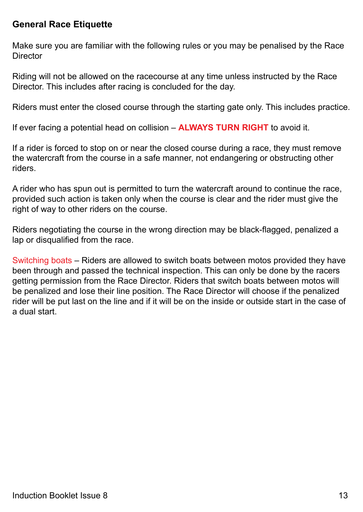### **General Race Etiquette**

Make sure you are familiar with the following rules or you may be penalised by the Race **Director** 

Riding will not be allowed on the racecourse at any time unless instructed by the Race Director. This includes after racing is concluded for the day.

Riders must enter the closed course through the starting gate only. This includes practice.

If ever facing a potential head on collision – **ALWAYS TURN RIGHT** to avoid it.

If a rider is forced to stop on or near the closed course during a race, they must remove the watercraft from the course in a safe manner, not endangering or obstructing other riders.

A rider who has spun out is permitted to turn the watercraft around to continue the race, provided such action is taken only when the course is clear and the rider must give the right of way to other riders on the course.

Riders negotiating the course in the wrong direction may be black-flagged, penalized a lap or disqualified from the race.

Switching boats – Riders are allowed to switch boats between motos provided they have been through and passed the technical inspection. This can only be done by the racers getting permission from the Race Director. Riders that switch boats between motos will be penalized and lose their line position. The Race Director will choose if the penalized rider will be put last on the line and if it will be on the inside or outside start in the case of a dual start.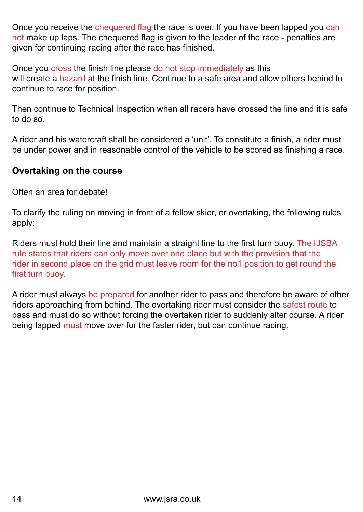Once you receive the chequered flag the race is over. If you have been lapped you can not make up laps. The chequered flag is given to the leader of the race - penalties are given for continuing racing after the race has finished.

Once you cross the finish line please do not stop immediately as this will create a hazard at the finish line. Continue to a safe area and allow others behind to continue to race for position.

Then continue to Technical Inspection when all racers have crossed the line and it is safe to do so.

A rider and his watercraft shall be considered a 'unit'. To constitute a finish, a rider must be under power and in reasonable control of the vehicle to be scored as finishing a race.

### **Overtaking on the course**

Often an area for debate!

To clarify the ruling on moving in front of a fellow skier, or overtaking, the following rules apply:

Riders must hold their line and maintain a straight line to the first turn buoy. The IJSBA rule states that riders can only move over one place but with the provision that the rider in second place on the grid must leave room for the no1 position to get round the first turn buoy.

A rider must always be prepared for another rider to pass and therefore be aware of other riders approaching from behind. The overtaking rider must consider the safest route to pass and must do so without forcing the overtaken rider to suddenly alter course. A rider being lapped must move over for the faster rider, but can continue racing.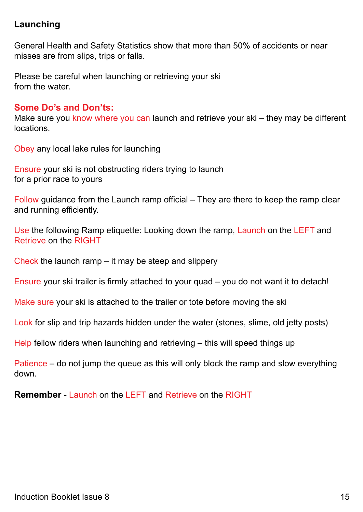### **Launching**

General Health and Safety Statistics show that more than 50% of accidents or near misses are from slips, trips or falls.

Please be careful when launching or retrieving your ski from the water.

### **Some Do's and Don'ts:**

Make sure you know where you can launch and retrieve your ski – they may be different locations.

Obey any local lake rules for launching

Ensure your ski is not obstructing riders trying to launch for a prior race to yours

Follow guidance from the Launch ramp official – They are there to keep the ramp clear and running efficiently.

Use the following Ramp etiquette: Looking down the ramp, Launch on the LEFT and Retrieve on the RIGHT

Check the launch ramp – it may be steep and slippery

Ensure your ski trailer is firmly attached to your quad – you do not want it to detach!

Make sure your ski is attached to the trailer or tote before moving the ski

Look for slip and trip hazards hidden under the water (stones, slime, old jetty posts)

Help fellow riders when launching and retrieving – this will speed things up

Patience – do not jump the queue as this will only block the ramp and slow everything down.

**Remember - Launch on the LEFT and Retrieve on the RIGHT**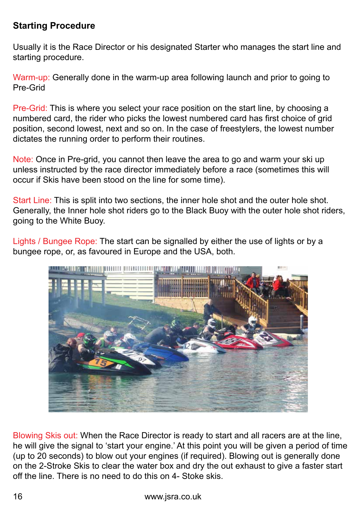### **Starting Procedure**

Usually it is the Race Director or his designated Starter who manages the start line and starting procedure.

Warm-up: Generally done in the warm-up area following launch and prior to going to Pre-Grid

Pre-Grid: This is where you select your race position on the start line, by choosing a numbered card, the rider who picks the lowest numbered card has first choice of grid position, second lowest, next and so on. In the case of freestylers, the lowest number dictates the running order to perform their routines.

Note: Once in Pre-grid, you cannot then leave the area to go and warm your ski up unless instructed by the race director immediately before a race (sometimes this will occur if Skis have been stood on the line for some time).

Start Line: This is split into two sections, the inner hole shot and the outer hole shot. Generally, the Inner hole shot riders go to the Black Buoy with the outer hole shot riders, going to the White Buoy.

Lights / Bungee Rope: The start can be signalled by either the use of lights or by a bungee rope, or, as favoured in Europe and the USA, both.



Blowing Skis out: When the Race Director is ready to start and all racers are at the line, he will give the signal to 'start your engine.' At this point you will be given a period of time (up to 20 seconds) to blow out your engines (if required). Blowing out is generally done on the 2-Stroke Skis to clear the water box and dry the out exhaust to give a faster start off the line. There is no need to do this on 4- Stoke skis.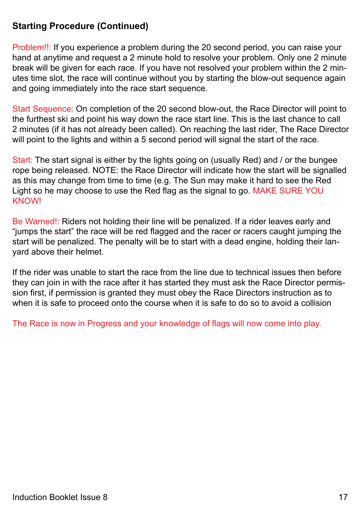### **Starting Procedure (Continued)**

Problem!!: If you experience a problem during the 20 second period, you can raise your hand at anytime and request a 2 minute hold to resolve your problem. Only one 2 minute break will be given for each race. If you have not resolved your problem within the 2 minutes time slot, the race will continue without you by starting the blow-out sequence again and going immediately into the race start sequence.

Start Sequence: On completion of the 20 second blow-out, the Race Director will point to the furthest ski and point his way down the race start line. This is the last chance to call 2 minutes (if it has not already been called). On reaching the last rider, The Race Director will point to the lights and within a 5 second period will signal the start of the race.

Start: The start signal is either by the lights going on (usually Red) and / or the bungee rope being released. NOTE: the Race Director will indicate how the start will be signalled as this may change from time to time (e.g. The Sun may make it hard to see the Red Light so he may choose to use the Red flag as the signal to go. MAKE SURE YOU KNOW!

Be Warned!: Riders not holding their line will be penalized. If a rider leaves early and "jumps the start" the race will be red flagged and the racer or racers caught jumping the start will be penalized. The penalty will be to start with a dead engine, holding their lanyard above their helmet.

If the rider was unable to start the race from the line due to technical issues then before they can join in with the race after it has started they must ask the Race Director permission first, if permission is granted they must obey the Race Directors instruction as to when it is safe to proceed onto the course when it is safe to do so to avoid a collision

The Race is now in Progress and your knowledge of flags will now come into play.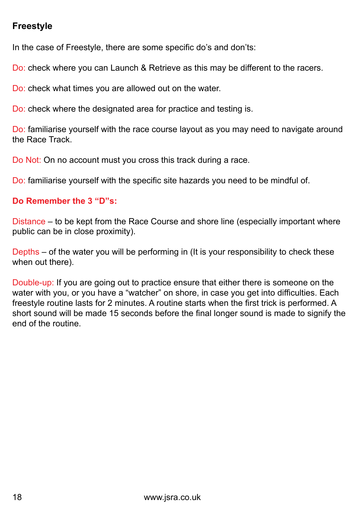### **Freestyle**

In the case of Freestyle, there are some specific do's and don'ts:

Do: check where you can Launch & Retrieve as this may be different to the racers.

Do: check what times you are allowed out on the water.

Do: check where the designated area for practice and testing is.

Do: familiarise yourself with the race course layout as you may need to navigate around the Race Track.

Do Not: On no account must you cross this track during a race.

Do: familiarise yourself with the specific site hazards you need to be mindful of.

### **Do Remember the 3 "D"s:**

Distance – to be kept from the Race Course and shore line (especially important where public can be in close proximity).

Depths – of the water you will be performing in (It is your responsibility to check these when out there).

Double-up: If you are going out to practice ensure that either there is someone on the water with you, or you have a "watcher" on shore, in case you get into difficulties. Each freestyle routine lasts for 2 minutes. A routine starts when the first trick is performed. A short sound will be made 15 seconds before the final longer sound is made to signify the end of the routine.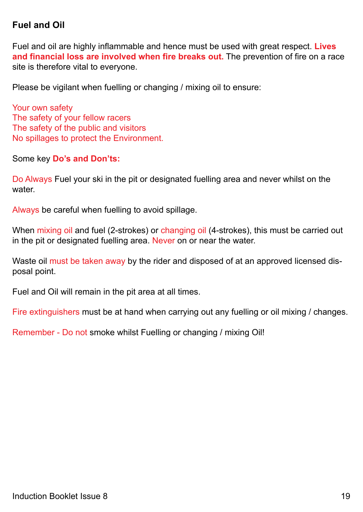### **Fuel and Oil**

Fuel and oil are highly inflammable and hence must be used with great respect. **Lives and financial loss are involved when fire breaks out.** The prevention of fire on a race site is therefore vital to everyone.

Please be vigilant when fuelling or changing / mixing oil to ensure:

Your own safety The safety of your fellow racers The safety of the public and visitors No spillages to protect the Environment.

Some key **Do's and Don'ts:**

Do Always Fuel your ski in the pit or designated fuelling area and never whilst on the water.

Always be careful when fuelling to avoid spillage.

When mixing oil and fuel (2-strokes) or changing oil (4-strokes), this must be carried out in the pit or designated fuelling area. Never on or near the water.

Waste oil must be taken away by the rider and disposed of at an approved licensed disposal point.

Fuel and Oil will remain in the pit area at all times.

Fire extinguishers must be at hand when carrying out any fuelling or oil mixing / changes.

Remember - Do not smoke whilst Fuelling or changing / mixing Oil!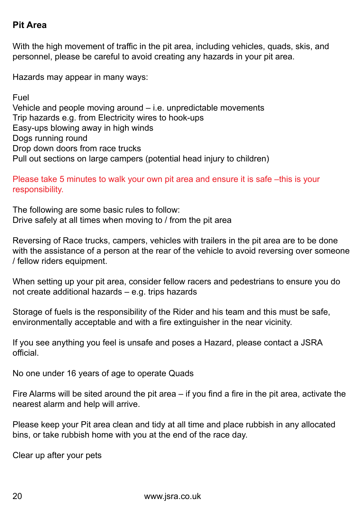### **Pit Area**

With the high movement of traffic in the pit area, including vehicles, quads, skis, and personnel, please be careful to avoid creating any hazards in your pit area.

Hazards may appear in many ways:

Fuel Vehicle and people moving around – i.e. unpredictable movements Trip hazards e.g. from Electricity wires to hook-ups Easy-ups blowing away in high winds Dogs running round Drop down doors from race trucks Pull out sections on large campers (potential head injury to children)

Please take 5 minutes to walk your own pit area and ensure it is safe –this is your responsibility.

The following are some basic rules to follow: Drive safely at all times when moving to / from the pit area

Reversing of Race trucks, campers, vehicles with trailers in the pit area are to be done with the assistance of a person at the rear of the vehicle to avoid reversing over someone / fellow riders equipment.

When setting up your pit area, consider fellow racers and pedestrians to ensure you do not create additional hazards – e.g. trips hazards

Storage of fuels is the responsibility of the Rider and his team and this must be safe, environmentally acceptable and with a fire extinguisher in the near vicinity.

If you see anything you feel is unsafe and poses a Hazard, please contact a JSRA official.

No one under 16 years of age to operate Quads

Fire Alarms will be sited around the pit area – if you find a fire in the pit area, activate the nearest alarm and help will arrive.

Please keep your Pit area clean and tidy at all time and place rubbish in any allocated bins, or take rubbish home with you at the end of the race day.

Clear up after your pets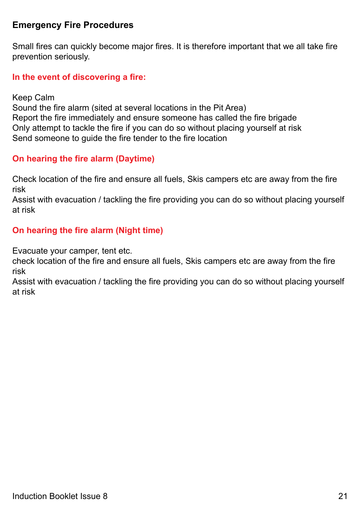### **Emergency Fire Procedures**

Small fires can quickly become major fires. It is therefore important that we all take fire prevention seriously.

### **In the event of discovering a fire:**

Keep Calm

Sound the fire alarm (sited at several locations in the Pit Area) Report the fire immediately and ensure someone has called the fire brigade Only attempt to tackle the fire if you can do so without placing yourself at risk Send someone to guide the fire tender to the fire location

### **On hearing the fire alarm (Daytime)**

Check location of the fire and ensure all fuels, Skis campers etc are away from the fire risk

Assist with evacuation / tackling the fire providing you can do so without placing yourself at risk

### **On hearing the fire alarm (Night time)**

Evacuate your camper, tent etc.

check location of the fire and ensure all fuels, Skis campers etc are away from the fire risk

Assist with evacuation / tackling the fire providing you can do so without placing yourself at risk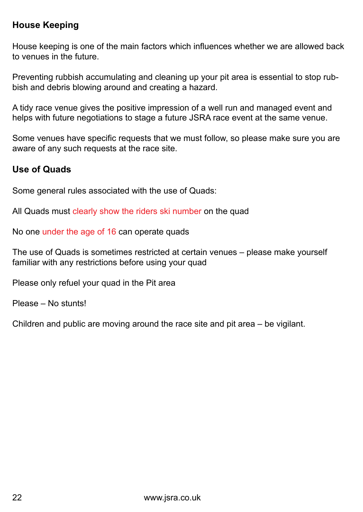### **House Keeping**

House keeping is one of the main factors which influences whether we are allowed back to venues in the future.

Preventing rubbish accumulating and cleaning up your pit area is essential to stop rubbish and debris blowing around and creating a hazard.

A tidy race venue gives the positive impression of a well run and managed event and helps with future negotiations to stage a future JSRA race event at the same venue.

Some venues have specific requests that we must follow, so please make sure you are aware of any such requests at the race site.

### **Use of Quads**

Some general rules associated with the use of Quads:

All Quads must clearly show the riders ski number on the quad

No one under the age of 16 can operate quads

The use of Quads is sometimes restricted at certain venues – please make yourself familiar with any restrictions before using your quad

Please only refuel your quad in the Pit area

Please – No stunts!

Children and public are moving around the race site and pit area – be vigilant.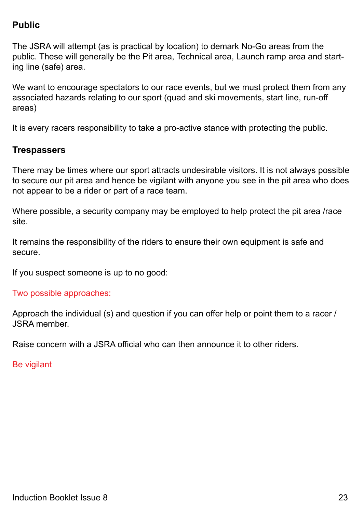### **Public**

The JSRA will attempt (as is practical by location) to demark No-Go areas from the public. These will generally be the Pit area, Technical area, Launch ramp area and starting line (safe) area.

We want to encourage spectators to our race events, but we must protect them from any associated hazards relating to our sport (quad and ski movements, start line, run-off areas)

It is every racers responsibility to take a pro-active stance with protecting the public.

### **Trespassers**

There may be times where our sport attracts undesirable visitors. It is not always possible to secure our pit area and hence be vigilant with anyone you see in the pit area who does not appear to be a rider or part of a race team.

Where possible, a security company may be employed to help protect the pit area /race site.

It remains the responsibility of the riders to ensure their own equipment is safe and secure.

If you suspect someone is up to no good:

### Two possible approaches:

Approach the individual (s) and question if you can offer help or point them to a racer / JSRA member.

Raise concern with a JSRA official who can then announce it to other riders.

Be vigilant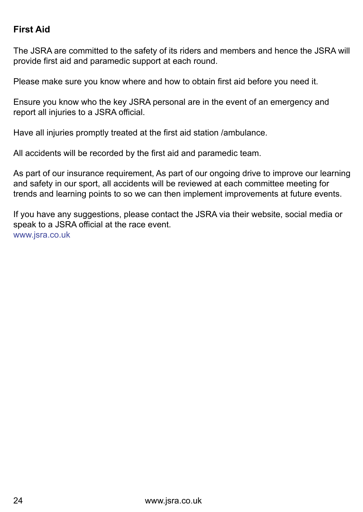### **First Aid**

The JSRA are committed to the safety of its riders and members and hence the JSRA will provide first aid and paramedic support at each round.

Please make sure you know where and how to obtain first aid before you need it.

Ensure you know who the key JSRA personal are in the event of an emergency and report all injuries to a JSRA official.

Have all injuries promptly treated at the first aid station /ambulance.

All accidents will be recorded by the first aid and paramedic team.

As part of our insurance requirement, As part of our ongoing drive to improve our learning and safety in our sport, all accidents will be reviewed at each committee meeting for trends and learning points to so we can then implement improvements at future events.

If you have any suggestions, please contact the JSRA via their website, social media or speak to a JSRA official at the race event. www.jsra.co.uk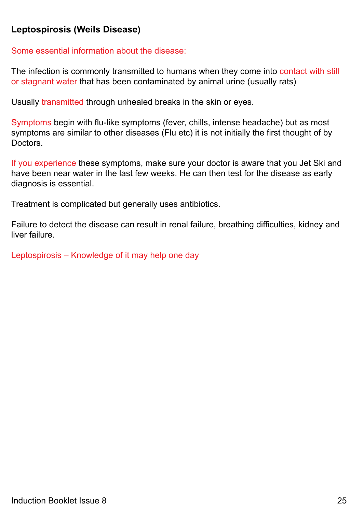### **Leptospirosis (Weils Disease)**

Some essential information about the disease:

The infection is commonly transmitted to humans when they come into contact with still or stagnant water that has been contaminated by animal urine (usually rats)

Usually transmitted through unhealed breaks in the skin or eyes.

Symptoms begin with flu-like symptoms (fever, chills, intense headache) but as most symptoms are similar to other diseases (Flu etc) it is not initially the first thought of by Doctors.

If you experience these symptoms, make sure your doctor is aware that you Jet Ski and have been near water in the last few weeks. He can then test for the disease as early diagnosis is essential.

Treatment is complicated but generally uses antibiotics.

Failure to detect the disease can result in renal failure, breathing difficulties, kidney and liver failure.

Leptospirosis – Knowledge of it may help one day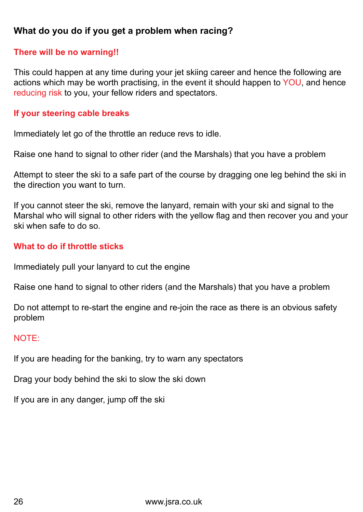### **What do you do if you get a problem when racing?**

### **There will be no warning!!**

This could happen at any time during your jet skiing career and hence the following are actions which may be worth practising, in the event it should happen to YOU, and hence reducing risk to you, your fellow riders and spectators.

### **If your steering cable breaks**

Immediately let go of the throttle an reduce revs to idle.

Raise one hand to signal to other rider (and the Marshals) that you have a problem

Attempt to steer the ski to a safe part of the course by dragging one leg behind the ski in the direction you want to turn.

If you cannot steer the ski, remove the lanyard, remain with your ski and signal to the Marshal who will signal to other riders with the yellow flag and then recover you and your ski when safe to do so.

### **What to do if throttle sticks**

Immediately pull your lanyard to cut the engine

Raise one hand to signal to other riders (and the Marshals) that you have a problem

Do not attempt to re-start the engine and re-join the race as there is an obvious safety problem

### NOTE:

If you are heading for the banking, try to warn any spectators

Drag your body behind the ski to slow the ski down

If you are in any danger, jump off the ski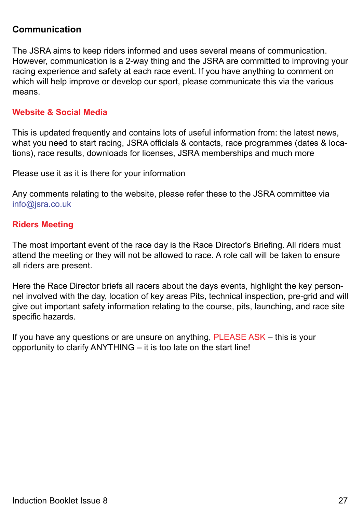### **Communication**

The JSRA aims to keep riders informed and uses several means of communication. However, communication is a 2-way thing and the JSRA are committed to improving your racing experience and safety at each race event. If you have anything to comment on which will help improve or develop our sport, please communicate this via the various means.

### **Website & Social Media**

This is updated frequently and contains lots of useful information from: the latest news, what you need to start racing, JSRA officials & contacts, race programmes (dates & locations), race results, downloads for licenses, JSRA memberships and much more

Please use it as it is there for your information

Any comments relating to the website, please refer these to the JSRA committee via info@jsra.co.uk

### **Riders Meeting**

The most important event of the race day is the Race Director's Briefing. All riders must attend the meeting or they will not be allowed to race. A role call will be taken to ensure all riders are present.

Here the Race Director briefs all racers about the days events, highlight the key personnel involved with the day, location of key areas Pits, technical inspection, pre-grid and will give out important safety information relating to the course, pits, launching, and race site specific hazards.

If you have any questions or are unsure on anything, PLEASE ASK – this is your opportunity to clarify ANYTHING – it is too late on the start line!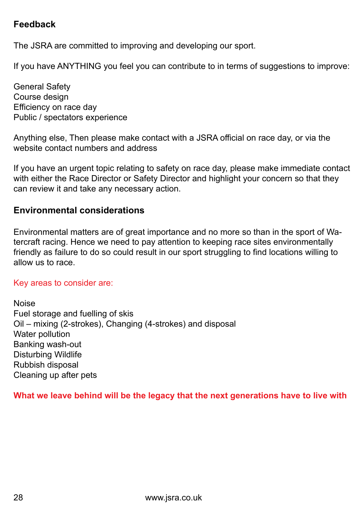### **Feedback**

The JSRA are committed to improving and developing our sport.

If you have ANYTHING you feel you can contribute to in terms of suggestions to improve:

General Safety Course design Efficiency on race day Public / spectators experience

Anything else, Then please make contact with a JSRA official on race day, or via the website contact numbers and address

If you have an urgent topic relating to safety on race day, please make immediate contact with either the Race Director or Safety Director and highlight your concern so that they can review it and take any necessary action.

### **Environmental considerations**

Environmental matters are of great importance and no more so than in the sport of Watercraft racing. Hence we need to pay attention to keeping race sites environmentally friendly as failure to do so could result in our sport struggling to find locations willing to allow us to race.

### Key areas to consider are:

Noise Fuel storage and fuelling of skis Oil – mixing (2-strokes), Changing (4-strokes) and disposal Water pollution Banking wash-out Disturbing Wildlife Rubbish disposal Cleaning up after pets

**What we leave behind will be the legacy that the next generations have to live with**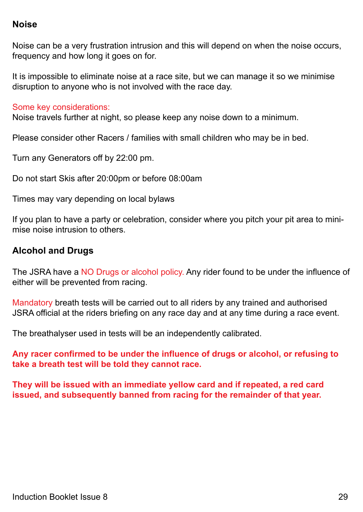### **Noise**

Noise can be a very frustration intrusion and this will depend on when the noise occurs, frequency and how long it goes on for.

It is impossible to eliminate noise at a race site, but we can manage it so we minimise disruption to anyone who is not involved with the race day.

### Some key considerations:

Noise travels further at night, so please keep any noise down to a minimum.

Please consider other Racers / families with small children who may be in bed.

Turn any Generators off by 22:00 pm.

Do not start Skis after 20:00pm or before 08:00am

Times may vary depending on local bylaws

If you plan to have a party or celebration, consider where you pitch your pit area to minimise noise intrusion to others.

### **Alcohol and Drugs**

The JSRA have a NO Drugs or alcohol policy. Any rider found to be under the influence of either will be prevented from racing.

Mandatory breath tests will be carried out to all riders by any trained and authorised JSRA official at the riders briefing on any race day and at any time during a race event.

The breathalyser used in tests will be an independently calibrated.

**Any racer confirmed to be under the influence of drugs or alcohol, or refusing to take a breath test will be told they cannot race.**

**They will be issued with an immediate yellow card and if repeated, a red card issued, and subsequently banned from racing for the remainder of that year.**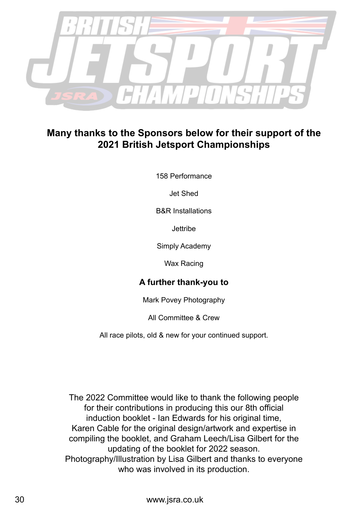

### **Many thanks to the Sponsors below for their support of the 2021 British Jetsport Championships**

158 Performance

Jet Shed

B&R Installations

**Jettribe** 

Simply Academy

Wax Racing

### **A further thank-you to**

Mark Povey Photography

All Committee & Crew

All race pilots, old & new for your continued support.

The 2022 Committee would like to thank the following people for their contributions in producing this our 8th official induction booklet - Ian Edwards for his original time, Karen Cable for the original design/artwork and expertise in compiling the booklet, and Graham Leech/Lisa Gilbert for the updating of the booklet for 2022 season. Photography/Illustration by Lisa Gilbert and thanks to everyone who was involved in its production.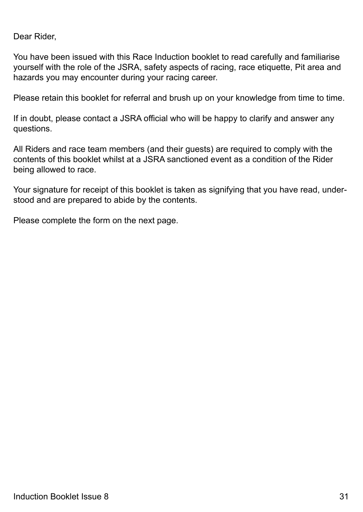Dear Rider,

You have been issued with this Race Induction booklet to read carefully and familiarise yourself with the role of the JSRA, safety aspects of racing, race etiquette, Pit area and hazards you may encounter during your racing career.

Please retain this booklet for referral and brush up on your knowledge from time to time.

If in doubt, please contact a JSRA official who will be happy to clarify and answer any questions.

All Riders and race team members (and their guests) are required to comply with the contents of this booklet whilst at a JSRA sanctioned event as a condition of the Rider being allowed to race.

Your signature for receipt of this booklet is taken as signifying that you have read, understood and are prepared to abide by the contents.

Please complete the form on the next page.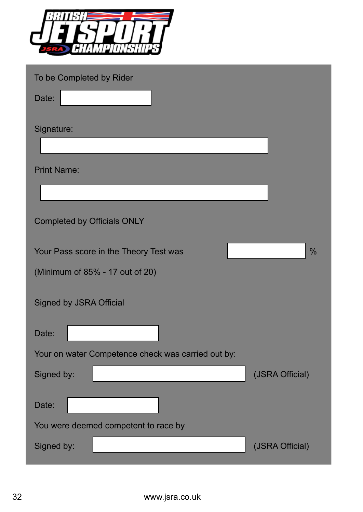

|    | To be Completed by Rider                           |                 |
|----|----------------------------------------------------|-----------------|
|    | Date:                                              |                 |
|    | Signature:                                         |                 |
|    |                                                    |                 |
|    | <b>Print Name:</b>                                 |                 |
|    |                                                    |                 |
|    | <b>Completed by Officials ONLY</b>                 |                 |
|    | Your Pass score in the Theory Test was             | $\frac{0}{0}$   |
|    | (Minimum of 85% - 17 out of 20)                    |                 |
|    | <b>Signed by JSRA Official</b>                     |                 |
|    | Date:                                              |                 |
|    | Your on water Competence check was carried out by: |                 |
|    | Signed by:                                         | (JSRA Official) |
|    | Date:                                              |                 |
|    | You were deemed competent to race by               |                 |
|    | Signed by:                                         | (JSRA Official) |
|    |                                                    |                 |
|    |                                                    |                 |
| 32 | www.jsra.co.uk                                     |                 |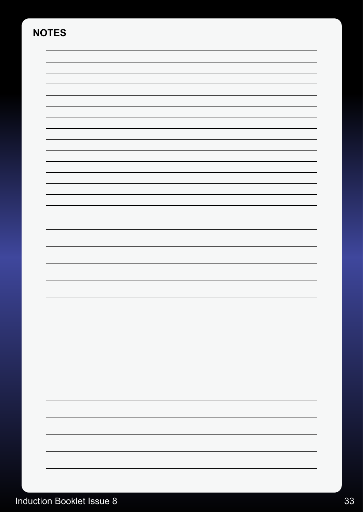# **NOTES**



# Induction Booklet Issue 8 33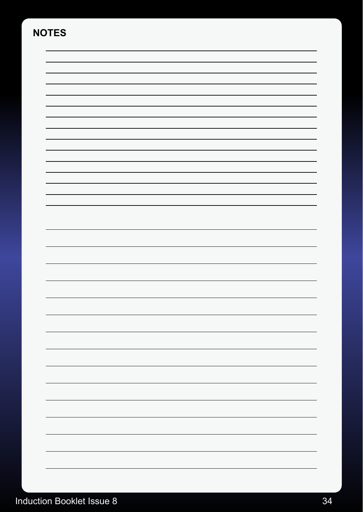# **NOTES**